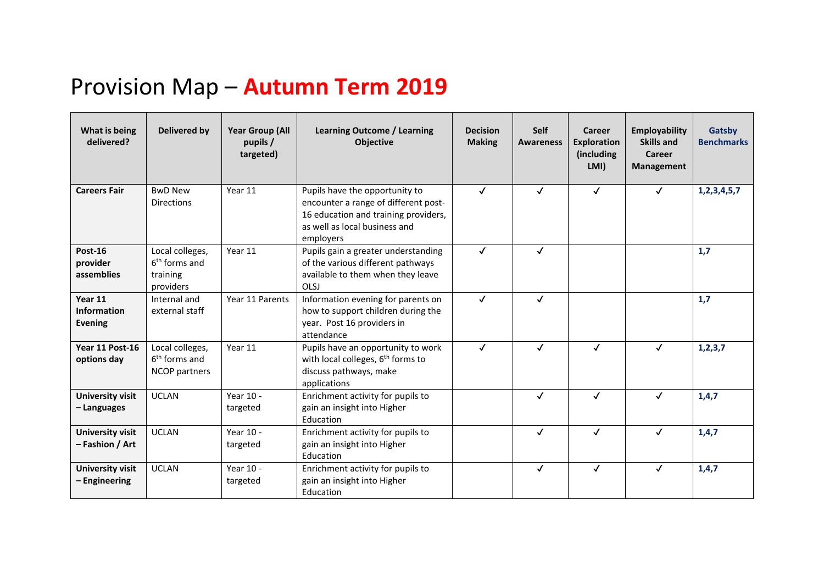## Provision Map – **Autumn Term 2019**

| What is being<br>delivered?                     | Delivered by                                                  | <b>Year Group (All</b><br>pupils /<br>targeted) | <b>Learning Outcome / Learning</b><br><b>Objective</b>                                                                                                       | <b>Decision</b><br><b>Making</b> | <b>Self</b><br><b>Awareness</b> | <b>Career</b><br><b>Exploration</b><br>(including)<br>LMI) | <b>Employability</b><br><b>Skills and</b><br>Career<br><b>Management</b> | Gatsby<br><b>Benchmarks</b> |
|-------------------------------------------------|---------------------------------------------------------------|-------------------------------------------------|--------------------------------------------------------------------------------------------------------------------------------------------------------------|----------------------------------|---------------------------------|------------------------------------------------------------|--------------------------------------------------------------------------|-----------------------------|
| <b>Careers Fair</b>                             | <b>BwD New</b><br><b>Directions</b>                           | Year 11                                         | Pupils have the opportunity to<br>encounter a range of different post-<br>16 education and training providers,<br>as well as local business and<br>employers | $\checkmark$                     | $\checkmark$                    | $\checkmark$                                               | $\checkmark$                                                             | 1,2,3,4,5,7                 |
| Post-16<br>provider<br>assemblies               | Local colleges,<br>$6th$ forms and<br>training<br>providers   | Year 11                                         | Pupils gain a greater understanding<br>of the various different pathways<br>available to them when they leave<br>OLSJ                                        | $\checkmark$                     | $\checkmark$                    |                                                            |                                                                          | 1,7                         |
| Year 11<br><b>Information</b><br><b>Evening</b> | Internal and<br>external staff                                | Year 11 Parents                                 | Information evening for parents on<br>how to support children during the<br>year. Post 16 providers in<br>attendance                                         | $\checkmark$                     | $\checkmark$                    |                                                            |                                                                          | 1,7                         |
| Year 11 Post-16<br>options day                  | Local colleges,<br>6 <sup>th</sup> forms and<br>NCOP partners | Year 11                                         | Pupils have an opportunity to work<br>with local colleges, 6 <sup>th</sup> forms to<br>discuss pathways, make<br>applications                                | $\checkmark$                     | $\checkmark$                    | $\checkmark$                                               | $\checkmark$                                                             | 1, 2, 3, 7                  |
| <b>University visit</b><br>- Languages          | <b>UCLAN</b>                                                  | Year 10 -<br>targeted                           | Enrichment activity for pupils to<br>gain an insight into Higher<br>Education                                                                                |                                  | $\checkmark$                    | $\checkmark$                                               | $\checkmark$                                                             | 1,4,7                       |
| <b>University visit</b><br>- Fashion / Art      | <b>UCLAN</b>                                                  | Year 10 -<br>targeted                           | Enrichment activity for pupils to<br>gain an insight into Higher<br>Education                                                                                |                                  | $\checkmark$                    | $\checkmark$                                               | $\checkmark$                                                             | 1,4,7                       |
| <b>University visit</b><br>- Engineering        | <b>UCLAN</b>                                                  | Year 10 -<br>targeted                           | Enrichment activity for pupils to<br>gain an insight into Higher<br>Education                                                                                |                                  | $\checkmark$                    | $\checkmark$                                               | $\checkmark$                                                             | 1,4,7                       |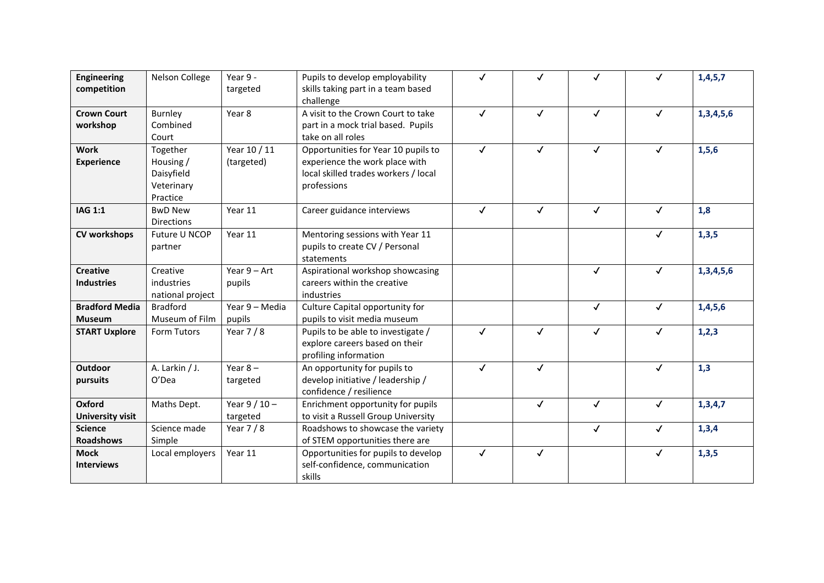| <b>Engineering</b><br>competition      | Nelson College                                                | Year 9 -<br>targeted       | Pupils to develop employability<br>skills taking part in a team based<br>challenge                                           | ✓            | $\checkmark$ | √            | $\checkmark$ | 1,4,5,7   |
|----------------------------------------|---------------------------------------------------------------|----------------------------|------------------------------------------------------------------------------------------------------------------------------|--------------|--------------|--------------|--------------|-----------|
| <b>Crown Court</b><br>workshop         | Burnley<br>Combined<br>Court                                  | Year 8                     | A visit to the Crown Court to take<br>part in a mock trial based. Pupils<br>take on all roles                                | $\checkmark$ | $\checkmark$ | $\checkmark$ | $\checkmark$ | 1,3,4,5,6 |
| <b>Work</b><br><b>Experience</b>       | Together<br>Housing /<br>Daisyfield<br>Veterinary<br>Practice | Year 10 / 11<br>(targeted) | Opportunities for Year 10 pupils to<br>experience the work place with<br>local skilled trades workers / local<br>professions | $\checkmark$ | $\checkmark$ | $\checkmark$ | $\checkmark$ | 1, 5, 6   |
| <b>IAG 1:1</b>                         | <b>BwD New</b><br>Directions                                  | Year 11                    | Career guidance interviews                                                                                                   | $\checkmark$ | $\checkmark$ | $\checkmark$ | $\checkmark$ | 1,8       |
| <b>CV workshops</b>                    | Future U NCOP<br>partner                                      | Year 11                    | Mentoring sessions with Year 11<br>pupils to create CV / Personal<br>statements                                              |              |              |              | $\checkmark$ | 1,3,5     |
| <b>Creative</b><br><b>Industries</b>   | Creative<br>industries<br>national project                    | Year $9 - Art$<br>pupils   | Aspirational workshop showcasing<br>careers within the creative<br>industries                                                |              |              | $\checkmark$ | $\checkmark$ | 1,3,4,5,6 |
| <b>Bradford Media</b><br><b>Museum</b> | <b>Bradford</b><br>Museum of Film                             | Year 9 - Media<br>pupils   | Culture Capital opportunity for<br>pupils to visit media museum                                                              |              |              | $\checkmark$ | $\checkmark$ | 1,4,5,6   |
| <b>START Uxplore</b>                   | Form Tutors                                                   | Year $7/8$                 | Pupils to be able to investigate /<br>explore careers based on their<br>profiling information                                | $\checkmark$ | $\checkmark$ | $\checkmark$ | $\checkmark$ | 1,2,3     |
| <b>Outdoor</b><br>pursuits             | A. Larkin / J.<br>O'Dea                                       | Year $8 -$<br>targeted     | An opportunity for pupils to<br>develop initiative / leadership /<br>confidence / resilience                                 | $\checkmark$ | $\checkmark$ |              | $\checkmark$ | 1,3       |
| Oxford<br><b>University visit</b>      | Maths Dept.                                                   | Year $9/10 -$<br>targeted  | Enrichment opportunity for pupils<br>to visit a Russell Group University                                                     |              | $\checkmark$ | $\checkmark$ | $\checkmark$ | 1,3,4,7   |
| <b>Science</b><br><b>Roadshows</b>     | Science made<br>Simple                                        | Year $7/8$                 | Roadshows to showcase the variety<br>of STEM opportunities there are                                                         |              |              | $\checkmark$ | $\checkmark$ | 1,3,4     |
| <b>Mock</b><br><b>Interviews</b>       | Local employers                                               | Year 11                    | Opportunities for pupils to develop<br>self-confidence, communication<br>skills                                              | $\checkmark$ | $\checkmark$ |              | ✓            | 1,3,5     |